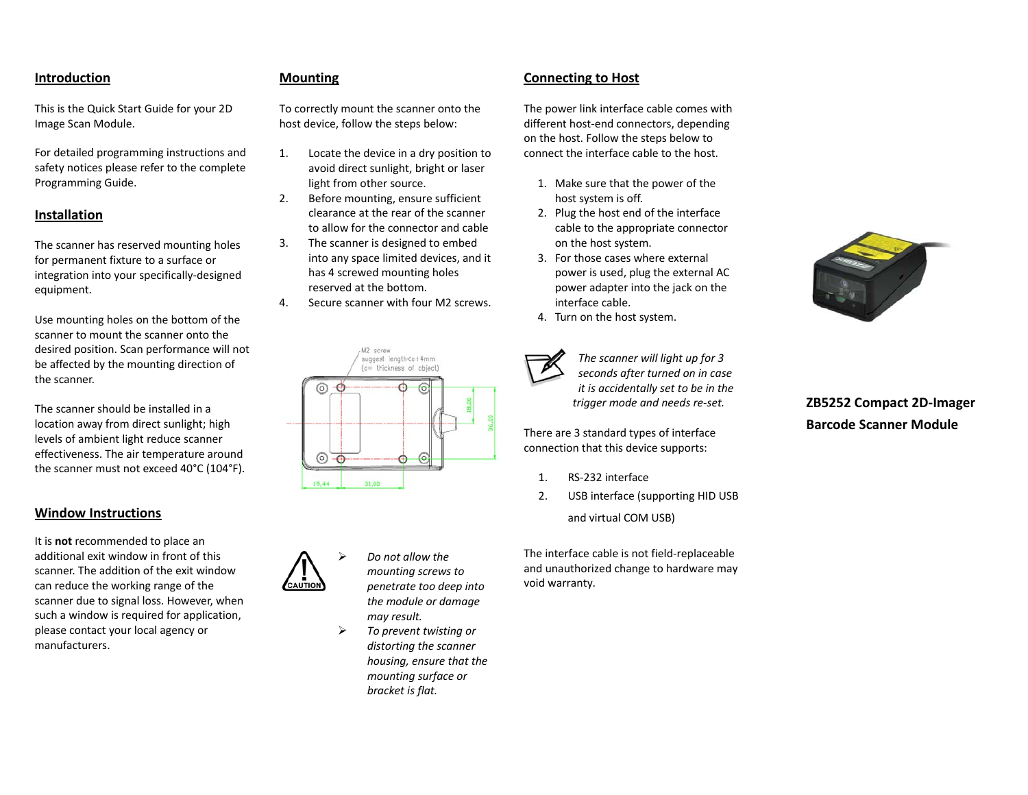### **Introduction**

This is the Quick Start Guide for your 2D Image Scan Module.

For detailed programming instructions and safety notices please refer to the complete Programming Guide.

### **Installation**

The scanner has reserved mounting holes for permanent fixture to <sup>a</sup> surface or integration into your specifically‐designed equipment.

Use mounting holes on the bottom of the scanner to mount the scanner onto the desired position. Scan performance will not be affected by the mounting direction of the scanner.

The scanner should be installed in <sup>a</sup> location away from direct sunlight; high levels of ambient light reduce scanner effectiveness. The air temperature around the scanner must not exceed 40°C (104°F).

### **Window Instructions**

It is **not** recommended to place an additional exit window in front of this scanner. The addition of the exit windowcan reduce the working range of the scanner due to signal loss. However, when such <sup>a</sup> window is required for application, please contact your local agency or manufacturers.

### **Mounting**

To correctly mount the scanner onto the host device, follow the steps below:

- 1. Locate the device in <sup>a</sup> dry position to avoid direct sunlight, bright or laser light from other source.
- 2. Before mounting, ensure sufficient clearance at the rear of the scanner to allow for the connector and cable
- 3. The scanner is designed to embed into any space limited devices, and it has 4 screwed mounting holes reserved at the bottom.
- 4.. Secure scanner with four M2 screws.

# M2 screw suggest length<a+4mm (a= thickness of object)  $\circ$   $\circ$  $\circ$   $\circ$  $\circ$ ۵



 *Do not allow the mounting screws to penetrate too deep into the module or damage may result.*

 $\blacktriangleright$  *To prevent twisting or distorting the scanner housing, ensure that the mounting surface or bracket is flat.*

### **Connecting to Host**

The power link interface cable comes with different host‐end connectors, depending on the host. Follow the steps below to connect the interface cable to the host.

- 1. Make sure that the power of the host system is off.
- 2. Plug the host end of the interface cable to the appropriate connector on the host system.
- 3. For those cases where external power is used, plug the external AC power adapter into the jack on the interface cable.
- 4. Turn on the host system.



*The scanner will light up for 3 seconds after turned on in case it is accidentally set to be in the trigger mode and needs re‐set.*

There are 3 standard types of interface connection that this device supports:

- 1.RS‐232 interface
- 2. USB interface (supporting HID USB and virtual COM USB)

The interface cable is not field‐replaceable and unauthorized change to hardware may void warranty.



## **ZB5252 Compact 2D‐Imager Barcode Scanner Module**